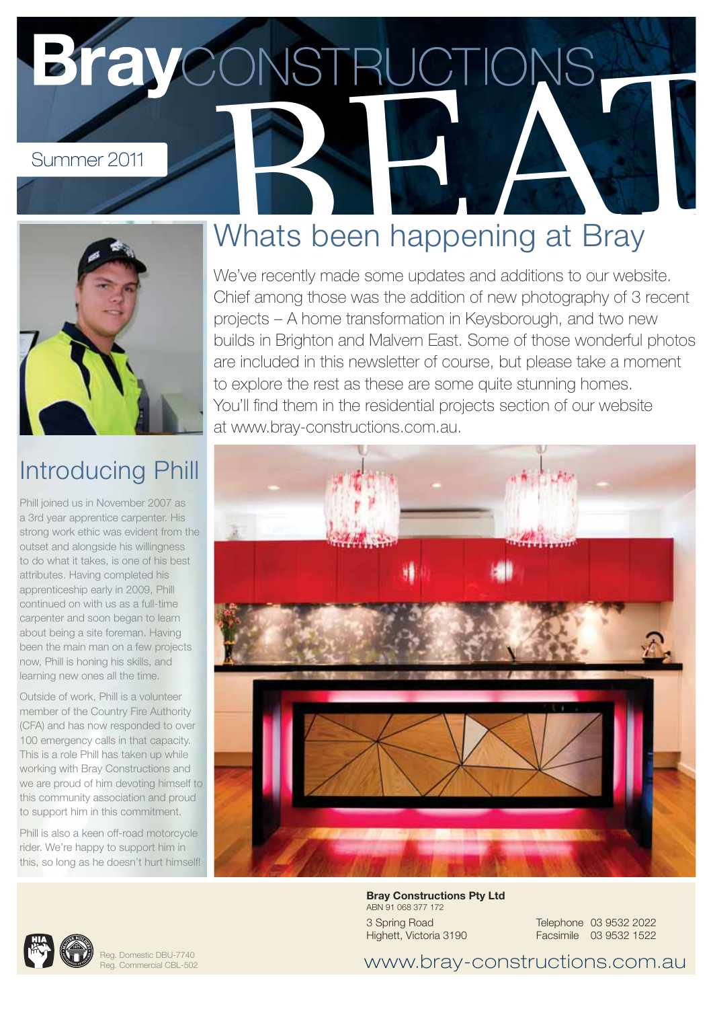# Summer 2011<br>
Whats been happening at Bray



#### Introducing Phill

Phill joined us in November 2007 as a 3rd year apprentice carpenter. His strong work ethic was evident from the outset and alongside his willingness to do what it takes, is one of his best attributes. Having completed his apprenticeship early in 2009, Phill continued on with us as a full-time carpenter and soon began to learn about being a site foreman. Having been the main man on a few projects now, Phill is honing his skills, and learning new ones all the time.

Outside of work, Phill is a volunteer member of the Country Fire Authority (CFA) and has now responded to over 100 emergency calls in that capacity. This is a role Phill has taken up while working with Bray Constructions and we are proud of him devoting himself to this community association and proud to support him in this commitment.

Phill is also a keen off-road motorcycle rider. We're happy to support him in this, so long as he doesn't hurt himself!

### Whats been happening at Bray

We've recently made some updates and additions to our website. Chief among those was the addition of new photography of 3 recent projects – A home transformation in Keysborough, and two new builds in Brighton and Malvern East. Some of those wonderful photos are included in this newsletter of course, but please take a moment to explore the rest as these are some quite stunning homes. You'll find them in the residential projects section of our website at www.bray-constructions.com.au.





Reg. Domestic DBU-7740 Reg. Commercial CBL-502 **Bray Constructions Pty Ltd** ABN 91 068 377 172 3 Spring Road Highett, Victoria 3190

Telephone 03 9532 2022 Facsimile 03 9532 1522

www.bray-constructions.com.au